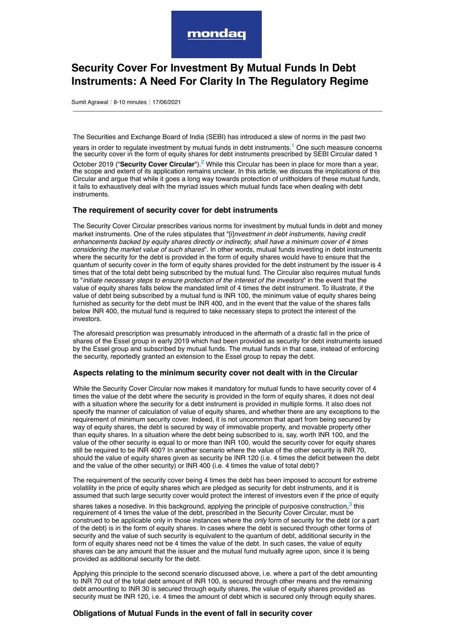<span id="page-0-0"></span>

# **Security Cover For Investment By Mutual Funds In Debt Instruments: A Need For Clarity In The Regulatory Regime**

Sumit Agrawal : 8-10 minutes : 17/06/2021

The Securities and Exchange Board of India (SEBI) has introduced a slew of norms in the past two

years in order to regulate investment by mutual funds in debt instruments.<sup>[1](#page-1-0)</sup> One such measure concerns the security cover in the form of equity shares for debt instruments prescribed by SEBI Circular dated 1

<span id="page-0-1"></span>October [2](#page-1-1)019 ("Security Cover Circular").<sup>2</sup> While this Circular has been in place for more than a year, the scope and extent of its application remains unclear. In this article, we discuss the implications of this Circular and argue that while it goes a long way towards protection of unitholders of these mutual funds, it fails to exhaustively deal with the myriad issues which mutual funds face when dealing with debt instruments.

# **The requirement of security cover for debt instruments**

The Security Cover Circular prescribes various norms for investment by mutual funds in debt and money market instruments. One of the rules stipulates that "[i]*nvestment in debt instruments, having credit enhancements backed by equity shares directly or indirectly, shall have a minimum cover of 4 times considering the market value of such shares*". In other words, mutual funds investing in debt instruments where the security for the debt is provided in the form of equity shares would have to ensure that the quantum of security cover in the form of equity shares provided for the debt instrument by the issuer is 4 times that of the total debt being subscribed by the mutual fund. The Circular also requires mutual funds to "*initiate necessary steps to ensure protection of the interest of the investors*" in the event that the value of equity shares falls below the mandated limit of 4 times the debt instrument. To illustrate, if the value of debt being subscribed by a mutual fund is INR 100, the minimum value of equity shares being furnished as security for the debt must be INR 400, and in the event that the value of the shares falls below INR 400, the mutual fund is required to take necessary steps to protect the interest of the investors.

The aforesaid prescription was presumably introduced in the aftermath of a drastic fall in the price of shares of the Essel group in early 2019 which had been provided as security for debt instruments issued by the Essel group and subscribed by mutual funds. The mutual funds in that case, instead of enforcing the security, reportedly granted an extension to the Essel group to repay the debt.

### **Aspects relating to the minimum security cover not dealt with in the Circular**

While the Security Cover Circular now makes it mandatory for mutual funds to have security cover of 4 times the value of the debt where the security is provided in the form of equity shares, it does not deal with a situation where the security for a debt instrument is provided in multiple forms. It also does not specify the manner of calculation of value of equity shares, and whether there are any exceptions to the requirement of minimum security cover. Indeed, it is not uncommon that apart from being secured by way of equity shares, the debt is secured by way of immovable property, and movable property other than equity shares. In a situation where the debt being subscribed to is, say, worth INR 100, and the value of the other security is equal to or more than INR 100, would the security cover for equity shares still be required to be INR 400? In another scenario where the value of the other security is INR 70, should the value of equity shares given as security be INR 120 (i.e. 4 times the deficit between the debt and the value of the other security) or INR 400 (i.e. 4 times the value of total debt)?

The requirement of the security cover being 4 times the debt has been imposed to account for extreme volatility in the price of equity shares which are pledged as security for debt instruments, and it is assumed that such large security cover would protect the interest of investors even if the price of equity

<span id="page-0-2"></span>shares takes a nosedive. In this background, applying the principle of purposive construction,<sup>[3](#page-1-2)</sup> this requirement of 4 times the value of the debt, prescribed in the Security Cover Circular, must be construed to be applicable only in those instances where the *only* form of security for the debt (or a part of the debt) is in the form of equity shares. In cases where the debt is secured through other forms of security and the value of such security is equivalent to the quantum of debt, additional security in the form of equity shares need not be 4 times the value of the debt. In such cases, the value of equity shares can be any amount that the issuer and the mutual fund mutually agree upon, since it is being provided as additional security for the debt.

Applying this principle to the second scenario discussed above, i.e. where a part of the debt amounting to INR 70 out of the total debt amount of INR 100, is secured through other means and the remaining debt amounting to INR 30 is secured through equity shares, the value of equity shares provided as security must be INR 120, i.e. 4 times the amount of debt which is secured only through equity shares.

# **Obligations of Mutual Funds in the event of fall in security cover**